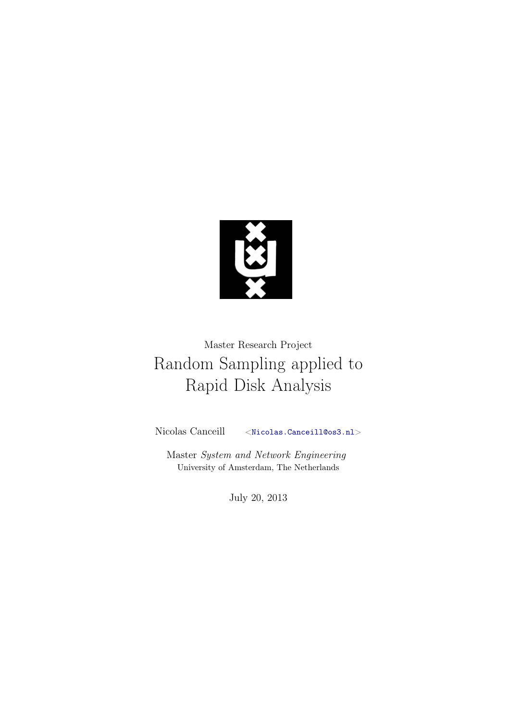<span id="page-0-0"></span>

# Master Research Project Random Sampling applied to Rapid Disk Analysis

Nicolas Canceill <<Nicolas.Canceill@os3.nl>>

Master System and Network Engineering University of Amsterdam, The Netherlands

July 20, 2013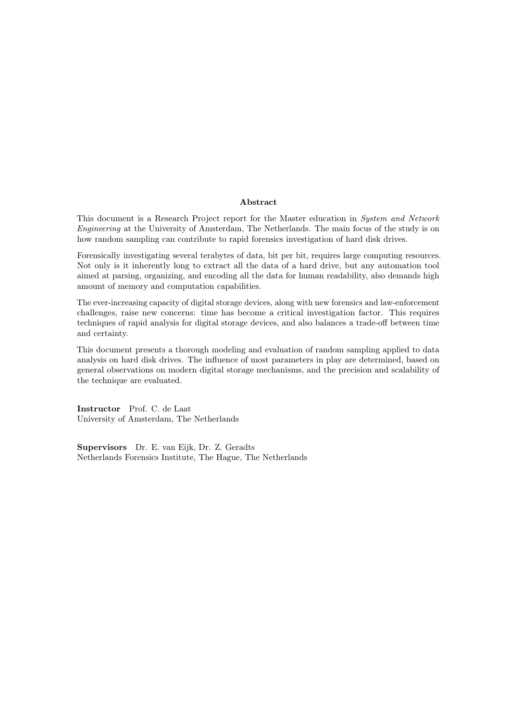#### Abstract

This document is a Research Project report for the Master education in System and Network Engineering at the University of Amsterdam, The Netherlands. The main focus of the study is on how random sampling can contribute to rapid forensics investigation of hard disk drives.

Forensically investigating several terabytes of data, bit per bit, requires large computing resources. Not only is it inherently long to extract all the data of a hard drive, but any automation tool aimed at parsing, organizing, and encoding all the data for human readability, also demands high amount of memory and computation capabilities.

The ever-increasing capacity of digital storage devices, along with new forensics and law-enforcement challenges, raise new concerns: time has become a critical investigation factor. This requires techniques of rapid analysis for digital storage devices, and also balances a trade-off between time and certainty.

This document presents a thorough modeling and evaluation of random sampling applied to data analysis on hard disk drives. The influence of most parameters in play are determined, based on general observations on modern digital storage mechanisms, and the precision and scalability of the technique are evaluated.

Instructor Prof. C. de Laat University of Amsterdam, The Netherlands

Supervisors Dr. E. van Eijk, Dr. Z. Geradts Netherlands Forensics Institute, The Hague, The Netherlands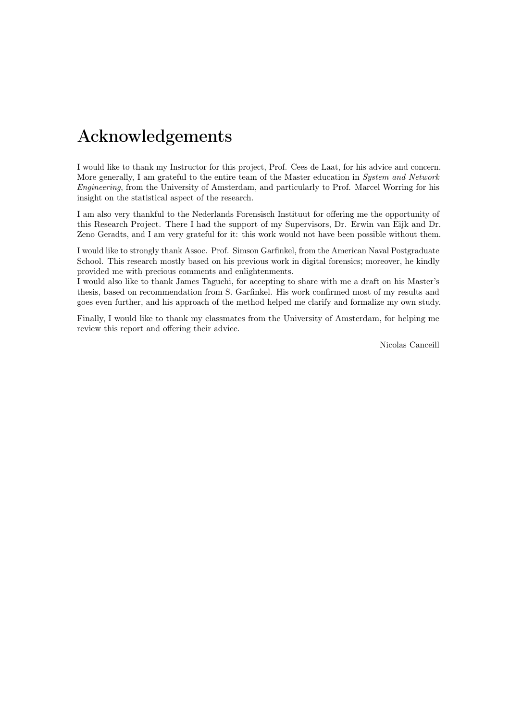# <span id="page-2-0"></span>Acknowledgements

I would like to thank my Instructor for this project, Prof. Cees de Laat, for his advice and concern. More generally, I am grateful to the entire team of the Master education in System and Network Engineering, from the University of Amsterdam, and particularly to Prof. Marcel Worring for his insight on the statistical aspect of the research.

I am also very thankful to the Nederlands Forensisch Instituut for offering me the opportunity of this Research Project. There I had the support of my Supervisors, Dr. Erwin van Eijk and Dr. Zeno Geradts, and I am very grateful for it: this work would not have been possible without them.

I would like to strongly thank Assoc. Prof. Simson Garfinkel, from the American Naval Postgraduate School. This research mostly based on his previous work in digital forensics; moreover, he kindly provided me with precious comments and enlightenments.

I would also like to thank James Taguchi, for accepting to share with me a draft on his Master's thesis, based on recommendation from S. Garfinkel. His work confirmed most of my results and goes even further, and his approach of the method helped me clarify and formalize my own study.

Finally, I would like to thank my classmates from the University of Amsterdam, for helping me review this report and offering their advice.

Nicolas Canceill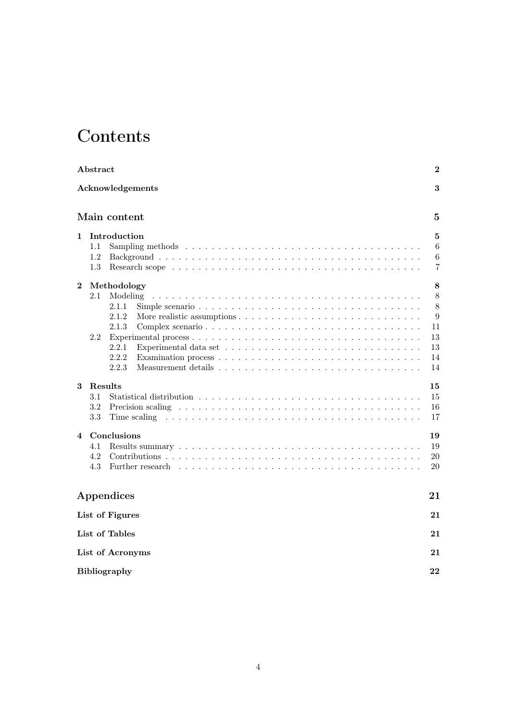# **Contents**

| Abstract |                                                                                                                                                                                                                                                                |                                                |  |  |  |  |  |
|----------|----------------------------------------------------------------------------------------------------------------------------------------------------------------------------------------------------------------------------------------------------------------|------------------------------------------------|--|--|--|--|--|
|          | Acknowledgements                                                                                                                                                                                                                                               | 3                                              |  |  |  |  |  |
|          | Main content                                                                                                                                                                                                                                                   | $\overline{5}$                                 |  |  |  |  |  |
| 1        | Introduction<br>$1.1\,$<br>1.2<br>1.3                                                                                                                                                                                                                          | 5<br>6<br>6<br>7                               |  |  |  |  |  |
| $\bf{2}$ | Methodology<br>2.1<br>Modeling<br>2.1.1<br>2.1.2<br>2.1.3<br>2.2<br>2.2.1<br>2.2.2<br>2.2.3                                                                                                                                                                    | 8<br>8<br>8<br>9<br>11<br>13<br>13<br>14<br>14 |  |  |  |  |  |
| 3        | Results<br>3.1<br>3.2<br>3.3<br>Time scaling responses to the set of the scaling response to the scaling response to the set of the scale of the scale of the scale of the scale of the scale of the scale of the scale of the scale of the scale of the scale | 15<br>15<br>16<br>17                           |  |  |  |  |  |
| 4        | Conclusions<br>4.1<br>4.2<br>4.3<br>Further research                                                                                                                                                                                                           | 19<br>19<br>20<br>20                           |  |  |  |  |  |
|          | Appendices                                                                                                                                                                                                                                                     | 21                                             |  |  |  |  |  |
|          | List of Figures                                                                                                                                                                                                                                                | 21                                             |  |  |  |  |  |
|          | List of Tables                                                                                                                                                                                                                                                 | 21                                             |  |  |  |  |  |
|          | List of Acronyms                                                                                                                                                                                                                                               |                                                |  |  |  |  |  |
|          | <b>Bibliography</b>                                                                                                                                                                                                                                            |                                                |  |  |  |  |  |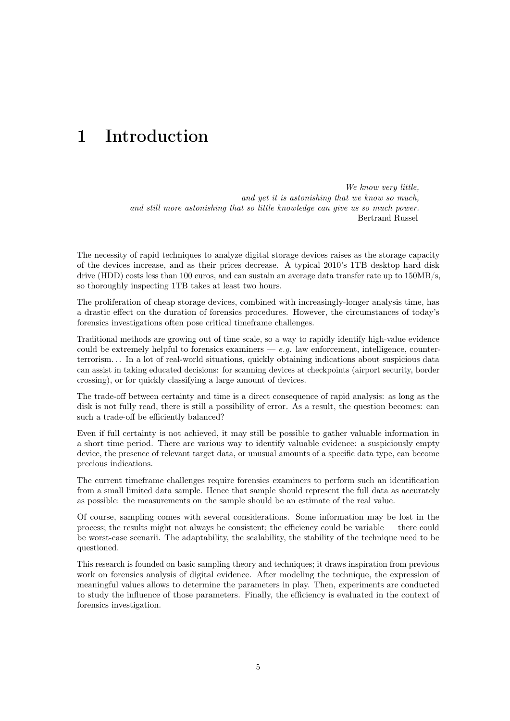## <span id="page-4-0"></span>1 Introduction

We know very little. and yet it is astonishing that we know so much, and still more astonishing that so little knowledge can give us so much power. Bertrand Russel

The necessity of rapid techniques to analyze digital storage devices raises as the storage capacity of the devices increase, and as their prices decrease. A typical 2010's 1TB desktop hard disk drive [\(HDD\)](#page-20-2) costs less than 100 euros, and can sustain an average data transfer rate up to 150MB/s, so thoroughly inspecting 1TB takes at least two hours.

The proliferation of cheap storage devices, combined with increasingly-longer analysis time, has a drastic effect on the duration of forensics procedures. However, the circumstances of today's forensics investigations often pose critical timeframe challenges.

Traditional methods are growing out of time scale, so a way to rapidly identify high-value evidence could be extremely helpful to forensics examiners  $-e.g.$  law enforcement, intelligence, counterterrorism. . . In a lot of real-world situations, quickly obtaining indications about suspicious data can assist in taking educated decisions: for scanning devices at checkpoints (airport security, border crossing), or for quickly classifying a large amount of devices.

The trade-off between certainty and time is a direct consequence of rapid analysis: as long as the disk is not fully read, there is still a possibility of error. As a result, the question becomes: can such a trade-off be efficiently balanced?

Even if full certainty is not achieved, it may still be possible to gather valuable information in a short time period. There are various way to identify valuable evidence: a suspiciously empty device, the presence of relevant target data, or unusual amounts of a specific data type, can become precious indications.

The current timeframe challenges require forensics examiners to perform such an identification from a small limited data sample. Hence that sample should represent the full data as accurately as possible: the measurements on the sample should be an estimate of the real value.

Of course, sampling comes with several considerations. Some information may be lost in the process; the results might not always be consistent; the efficiency could be variable — there could be worst-case scenarii. The adaptability, the scalability, the stability of the technique need to be questioned.

<span id="page-4-1"></span>This research is founded on basic sampling theory and techniques; it draws inspiration from previous work on forensics analysis of digital evidence. After modeling the technique, the expression of meaningful values allows to determine the parameters in play. Then, experiments are conducted to study the influence of those parameters. Finally, the efficiency is evaluated in the context of forensics investigation.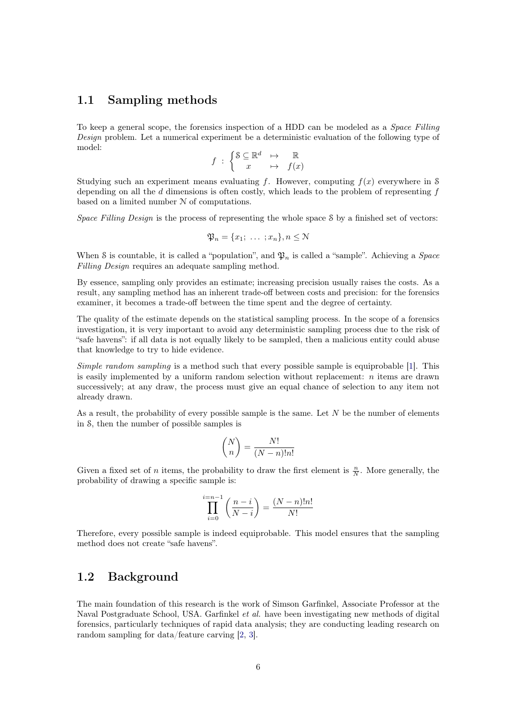### 1.1 Sampling methods

To keep a general scope, the forensics inspection of a [HDD](#page-20-2) can be modeled as a Space Filling Design problem. Let a numerical experiment be a deterministic evaluation of the following type of model:

$$
f \; : \; \left\{ \begin{matrix} \mathbb{S} \subseteq \mathbb{R}^d & \mapsto & \mathbb{R} \\ x & \mapsto & f(x) \end{matrix} \right.
$$

Studying such an experiment means evaluating f. However, computing  $f(x)$  everywhere in S depending on all the  $d$  dimensions is often costly, which leads to the problem of representing  $f$ based on a limited number N of computations.

Space Filling Design is the process of representing the whole space S by a finished set of vectors:

$$
\mathfrak{P}_n = \{x_1; \ldots; x_n\}, n \le N
$$

When S is countable, it is called a "population", and  $\mathfrak{P}_n$  is called a "sample". Achieving a *Space* Filling Design requires an adequate sampling method.

By essence, sampling only provides an estimate; increasing precision usually raises the costs. As a result, any sampling method has an inherent trade-off between costs and precision: for the forensics examiner, it becomes a trade-off between the time spent and the degree of certainty.

The quality of the estimate depends on the statistical sampling process. In the scope of a forensics investigation, it is very important to avoid any deterministic sampling process due to the risk of "safe havens": if all data is not equally likely to be sampled, then a malicious entity could abuse that knowledge to try to hide evidence.

Simple random sampling is a method such that every possible sample is equiprobable [\[1\]](#page-21-0). This is easily implemented by a uniform random selection without replacement:  $n$  items are drawn successively; at any draw, the process must give an equal chance of selection to any item not already drawn.

As a result, the probability of every possible sample is the same. Let  $N$  be the number of elements in S, then the number of possible samples is

$$
\binom{N}{n} = \frac{N!}{(N-n)!n!}
$$

Given a fixed set of *n* items, the probability to draw the first element is  $\frac{n}{N}$ . More generally, the probability of drawing a specific sample is:

$$
\prod_{i=0}^{i=n-1} \left( \frac{n-i}{N-i} \right) = \frac{(N-n)!n!}{N!}
$$

<span id="page-5-0"></span>Therefore, every possible sample is indeed equiprobable. This model ensures that the sampling method does not create "safe havens".

## 1.2 Background

The main foundation of this research is the work of Simson Garfinkel, Associate Professor at the Naval Postgraduate School, USA. Garfinkel et al. have been investigating new methods of digital forensics, particularly techniques of rapid data analysis; they are conducting leading research on random sampling for data/feature carving [\[2,](#page-21-1) [3\]](#page-21-2).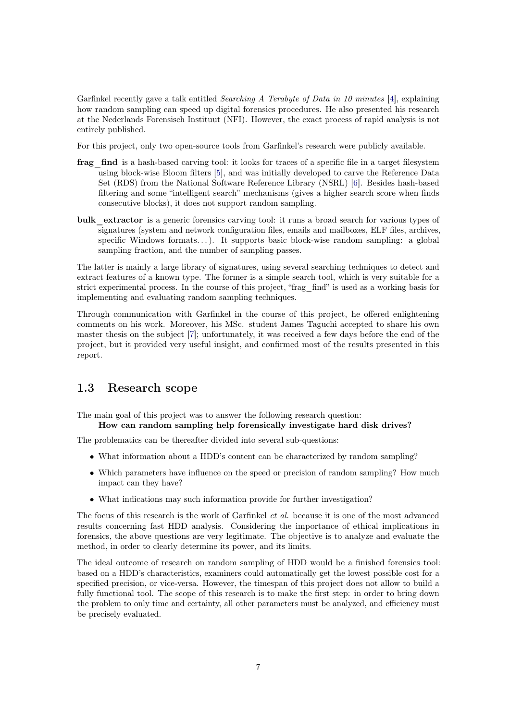Garfinkel recently gave a talk entitled Searching A Terabyte of Data in 10 minutes [\[4\]](#page-21-3), explaining how random sampling can speed up digital forensics procedures. He also presented his research at the Nederlands Forensisch Instituut [\(NFI\)](#page-20-3). However, the exact process of rapid analysis is not entirely published.

For this project, only two open-source tools from Garfinkel's research were publicly available.

- frag find is a hash-based carving tool: it looks for traces of a specific file in a target filesystem using block-wise Bloom filters [\[5\]](#page-21-4), and was initially developed to carve the Reference Data Set [\(RDS\)](#page-20-4) from the National Software Reference Library [\(NSRL\)](#page-20-5) [\[6\]](#page-21-5). Besides hash-based filtering and some "intelligent search" mechanisms (gives a higher search score when finds consecutive blocks), it does not support random sampling.
- bulk extractor is a generic forensics carving tool: it runs a broad search for various types of signatures (system and network configuration files, emails and mailboxes, ELF files, archives, specific Windows formats...). It supports basic block-wise random sampling: a global sampling fraction, and the number of sampling passes.

The latter is mainly a large library of signatures, using several searching techniques to detect and extract features of a known type. The former is a simple search tool, which is very suitable for a strict experimental process. In the course of this project, "frag\_find" is used as a working basis for implementing and evaluating random sampling techniques.

Through communication with Garfinkel in the course of this project, he offered enlightening comments on his work. Moreover, his MSc. student James Taguchi accepted to share his own master thesis on the subject [\[7\]](#page-21-6); unfortunately, it was received a few days before the end of the project, but it provided very useful insight, and confirmed most of the results presented in this report.

## <span id="page-6-0"></span>1.3 Research scope

The main goal of this project was to answer the following research question:

#### How can random sampling help forensically investigate hard disk drives?

The problematics can be thereafter divided into several sub-questions:

- What information about a [HDD'](#page-20-2)s content can be characterized by random sampling?
- Which parameters have influence on the speed or precision of random sampling? How much impact can they have?
- What indications may such information provide for further investigation?

The focus of this research is the work of Garfinkel et al. because it is one of the most advanced results concerning fast [HDD](#page-20-2) analysis. Considering the importance of ethical implications in forensics, the above questions are very legitimate. The objective is to analyze and evaluate the method, in order to clearly determine its power, and its limits.

The ideal outcome of research on random sampling of [HDD](#page-20-2) would be a finished forensics tool: based on a [HDD'](#page-20-2)s characteristics, examiners could automatically get the lowest possible cost for a specified precision, or vice-versa. However, the timespan of this project does not allow to build a fully functional tool. The scope of this research is to make the first step: in order to bring down the problem to only time and certainty, all other parameters must be analyzed, and efficiency must be precisely evaluated.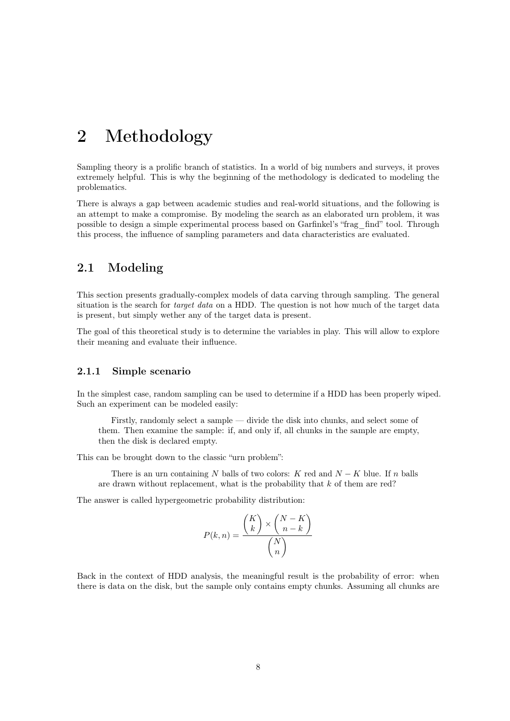## <span id="page-7-0"></span>2 Methodology

Sampling theory is a prolific branch of statistics. In a world of big numbers and surveys, it proves extremely helpful. This is why the beginning of the methodology is dedicated to modeling the problematics.

There is always a gap between academic studies and real-world situations, and the following is an attempt to make a compromise. By modeling the search as an elaborated urn problem, it was possible to design a simple experimental process based on Garfinkel's "frag\_find" tool. Through this process, the influence of sampling parameters and data characteristics are evaluated.

## <span id="page-7-1"></span>2.1 Modeling

This section presents gradually-complex models of data carving through sampling. The general situation is the search for *target data* on a [HDD.](#page-20-2) The question is not how much of the target data is present, but simply wether any of the target data is present.

<span id="page-7-2"></span>The goal of this theoretical study is to determine the variables in play. This will allow to explore their meaning and evaluate their influence.

#### 2.1.1 Simple scenario

In the simplest case, random sampling can be used to determine if a [HDD](#page-20-2) has been properly wiped. Such an experiment can be modeled easily:

Firstly, randomly select a sample — divide the disk into chunks, and select some of them. Then examine the sample: if, and only if, all chunks in the sample are empty, then the disk is declared empty.

This can be brought down to the classic "urn problem":

There is an urn containing N balls of two colors: K red and  $N - K$  blue. If n balls are drawn without replacement, what is the probability that  $k$  of them are red?

The answer is called hypergeometric probability distribution:

$$
P(k,n) = \frac{\binom{K}{k} \times \binom{N-K}{n-k}}{\binom{N}{n}}
$$

Back in the context of [HDD](#page-20-2) analysis, the meaningful result is the probability of error: when there is data on the disk, but the sample only contains empty chunks. Assuming all chunks are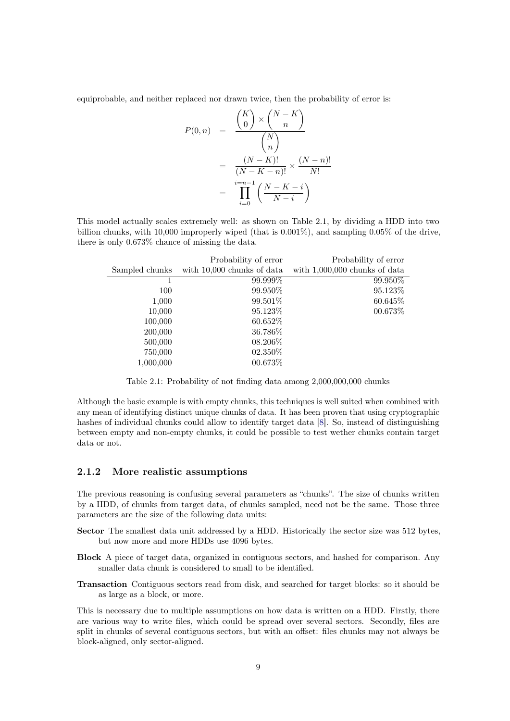equiprobable, and neither replaced nor drawn twice, then the probability of error is:

$$
P(0, n) = \frac{\binom{K}{0} \times \binom{N-K}{n}}{\binom{N}{n}}
$$

$$
= \frac{(N-K)!}{(N-K-n)!} \times \frac{(N-n)!}{N!}
$$

$$
= \prod_{i=0}^{N-n-1} \left(\frac{N-K-i}{N-i}\right)
$$

This model actually scales extremely well: as shown on Table [2.1,](#page-8-1) by dividing a [HDD](#page-20-2) into two billion chunks, with 10,000 improperly wiped (that is 0.001%), and sampling 0.05% of the drive, there is only 0.673% chance of missing the data.

<span id="page-8-1"></span>

|                | Probability of error       | Probability of error            |
|----------------|----------------------------|---------------------------------|
| Sampled chunks | with 10,000 chunks of data | with $1,000,000$ chunks of data |
|                | 99.999%                    | 99.950%                         |
| 100            | 99.950\%                   | 95.123\%                        |
| 1,000          | 99.501%                    | 60.645\%                        |
| 10,000         | 95.123%                    | 00.673\%                        |
| 100,000        | 60.652\%                   |                                 |
| 200,000        | 36.786%                    |                                 |
| 500,000        | 08.206\%                   |                                 |
| 750,000        | 02.350%                    |                                 |
| 1,000,000      | 00.673%                    |                                 |

Table 2.1: Probability of not finding data among 2,000,000,000 chunks

Although the basic example is with empty chunks, this techniques is well suited when combined with any mean of identifying distinct unique chunks of data. It has been proven that using cryptographic hashes of individual chunks could allow to identify target data [\[8\]](#page-21-7). So, instead of distinguishing between empty and non-empty chunks, it could be possible to test wether chunks contain target data or not.

#### <span id="page-8-0"></span>2.1.2 More realistic assumptions

The previous reasoning is confusing several parameters as "chunks". The size of chunks written by a [HDD,](#page-20-2) of chunks from target data, of chunks sampled, need not be the same. Those three parameters are the size of the following data units:

- Sector The smallest data unit addressed by a [HDD.](#page-20-2) Historically the sector size was 512 bytes, but now more and more [HDDs](#page-20-2) use 4096 bytes.
- Block A piece of target data, organized in contiguous sectors, and hashed for comparison. Any smaller data chunk is considered to small to be identified.
- Transaction Contiguous sectors read from disk, and searched for target blocks: so it should be as large as a block, or more.

This is necessary due to multiple assumptions on how data is written on a [HDD.](#page-20-2) Firstly, there are various way to write files, which could be spread over several sectors. Secondly, files are split in chunks of several contiguous sectors, but with an offset: files chunks may not always be block-aligned, only sector-aligned.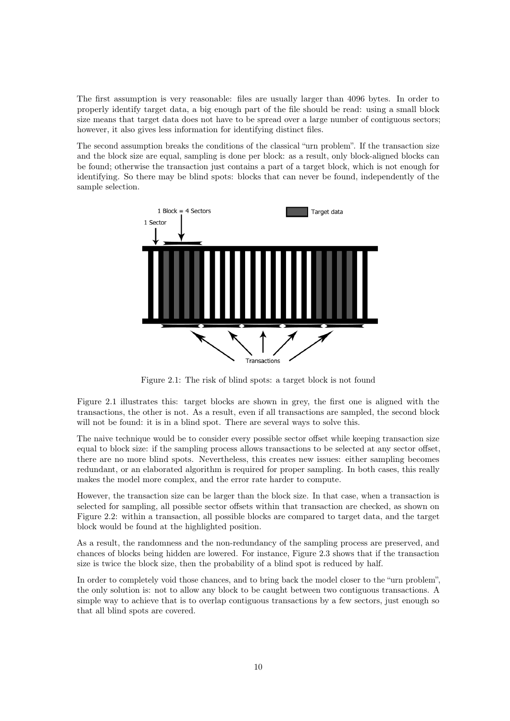The first assumption is very reasonable: files are usually larger than 4096 bytes. In order to properly identify target data, a big enough part of the file should be read: using a small block size means that target data does not have to be spread over a large number of contiguous sectors; however, it also gives less information for identifying distinct files.

The second assumption breaks the conditions of the classical "urn problem". If the transaction size and the block size are equal, sampling is done per block: as a result, only block-aligned blocks can be found; otherwise the transaction just contains a part of a target block, which is not enough for identifying. So there may be blind spots: blocks that can never be found, independently of the sample selection.

<span id="page-9-1"></span>

Figure 2.1: The risk of blind spots: a target block is not found

Figure [2.1](#page-9-1) illustrates this: target blocks are shown in grey, the first one is aligned with the transactions, the other is not. As a result, even if all transactions are sampled, the second block will not be found: it is in a blind spot. There are several ways to solve this.

The naive technique would be to consider every possible sector offset while keeping transaction size equal to block size: if the sampling process allows transactions to be selected at any sector offset, there are no more blind spots. Nevertheless, this creates new issues: either sampling becomes redundant, or an elaborated algorithm is required for proper sampling. In both cases, this really makes the model more complex, and the error rate harder to compute.

However, the transaction size can be larger than the block size. In that case, when a transaction is selected for sampling, all possible sector offsets within that transaction are checked, as shown on Figure [2.2:](#page-10-0) within a transaction, all possible blocks are compared to target data, and the target block would be found at the highlighted position.

As a result, the randomness and the non-redundancy of the sampling process are preserved, and chances of blocks being hidden are lowered. For instance, Figure [2.3](#page-10-1) shows that if the transaction size is twice the block size, then the probability of a blind spot is reduced by half.

<span id="page-9-0"></span>In order to completely void those chances, and to bring back the model closer to the "urn problem", the only solution is: not to allow any block to be caught between two contiguous transactions. A simple way to achieve that is to overlap contiguous transactions by a few sectors, just enough so that all blind spots are covered.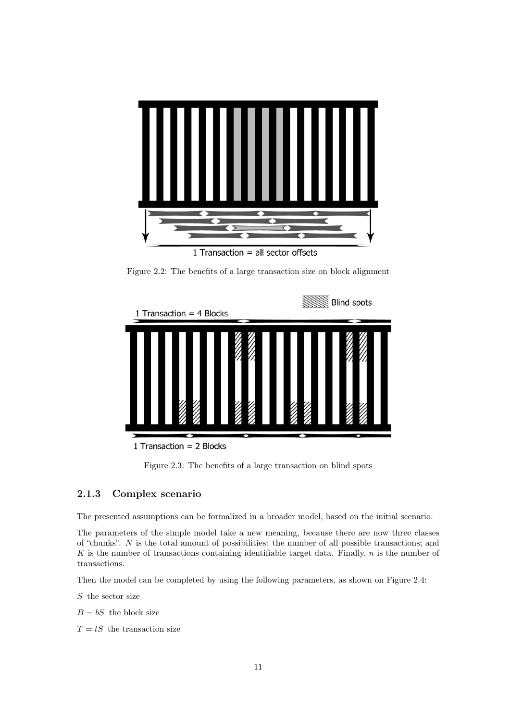<span id="page-10-0"></span>

Figure 2.2: The benefits of a large transaction size on block alignment

<span id="page-10-1"></span>

Figure 2.3: The benefits of a large transaction on blind spots

### 2.1.3 Complex scenario

The presented assumptions can be formalized in a broader model, based on the initial scenario.

The parameters of the simple model take a new meaning, because there are now three classes of "chunks". N is the total amount of possibilities: the number of all possible transactions; and  $K$  is the number of transactions containing identifiable target data. Finally,  $n$  is the number of transactions.

Then the model can be completed by using the following parameters, as shown on Figure [2.4:](#page-11-0)

 $S$  the sector size

 $B = bS$  the block size

 $T = tS$  the transaction size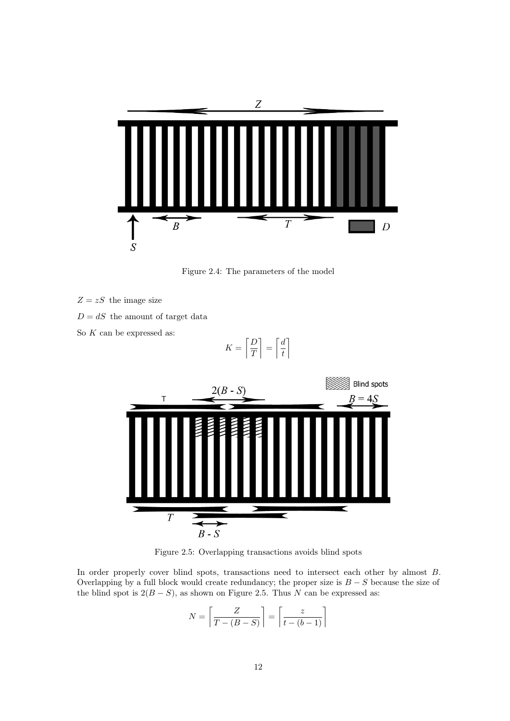<span id="page-11-0"></span>

Figure 2.4: The parameters of the model

- $Z = zS$  the image size
- $D = dS$  the amount of target data
- So  $K$  can be expressed as:

$$
K = \left\lceil \frac{D}{T} \right\rceil = \left\lceil \frac{d}{t} \right\rceil
$$

<span id="page-11-1"></span>

Figure 2.5: Overlapping transactions avoids blind spots

In order properly cover blind spots, transactions need to intersect each other by almost B. Overlapping by a full block would create redundancy; the proper size is  $B - S$  because the size of the blind spot is  $2(B - S)$ , as shown on Figure [2.5.](#page-11-1) Thus N can be expressed as:

$$
N = \left\lceil \frac{Z}{T - (B - S)} \right\rceil = \left\lceil \frac{z}{t - (b - 1)} \right\rceil
$$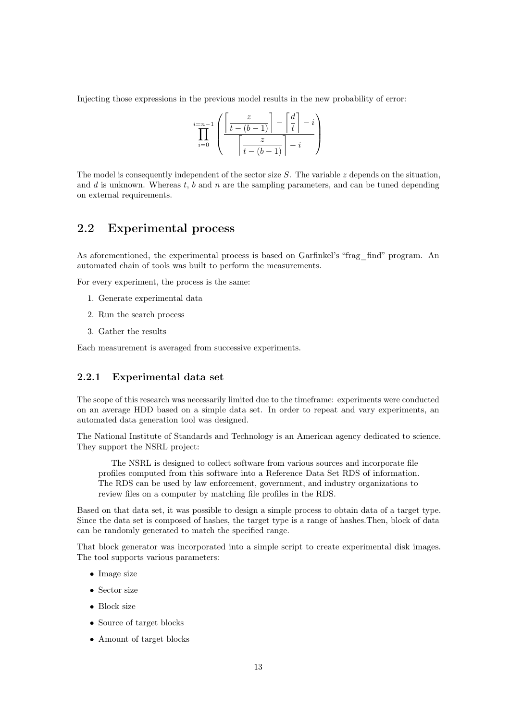Injecting those expressions in the previous model results in the new probability of error:

$$
\prod_{i=0}^{i=n-1} \left( \frac{\left\lceil \frac{z}{t-(b-1)} \right\rceil - \left\lceil \frac{d}{t} \right\rceil - i}{\left\lceil \frac{z}{t-(b-1)} \right\rceil - i} \right)
$$

The model is consequently independent of the sector size  $S$ . The variable z depends on the situation, and d is unknown. Whereas t, b and n are the sampling parameters, and can be tuned depending on external requirements.

### <span id="page-12-0"></span>2.2 Experimental process

As aforementioned, the experimental process is based on Garfinkel's "frag\_find" program. An automated chain of tools was built to perform the measurements.

For every experiment, the process is the same:

- 1. Generate experimental data
- 2. Run the search process
- 3. Gather the results

<span id="page-12-1"></span>Each measurement is averaged from successive experiments.

#### 2.2.1 Experimental data set

The scope of this research was necessarily limited due to the timeframe: experiments were conducted on an average [HDD](#page-20-2) based on a simple data set. In order to repeat and vary experiments, an automated data generation tool was designed.

The National Institute of Standards and Technology is an American agency dedicated to science. They support the [NSRL](#page-20-5) project:

The [NSRL](#page-20-5) is designed to collect software from various sources and incorporate file profiles computed from this software into a Reference Data Set [RDS](#page-20-4) of information. The [RDS](#page-20-4) can be used by law enforcement, government, and industry organizations to review files on a computer by matching file profiles in the [RDS.](#page-20-4)

Based on that data set, it was possible to design a simple process to obtain data of a target type. Since the data set is composed of hashes, the target type is a range of hashes.Then, block of data can be randomly generated to match the specified range.

That block generator was incorporated into a simple script to create experimental disk images. The tool supports various parameters:

- Image size
- Sector size
- Block size
- Source of target blocks
- Amount of target blocks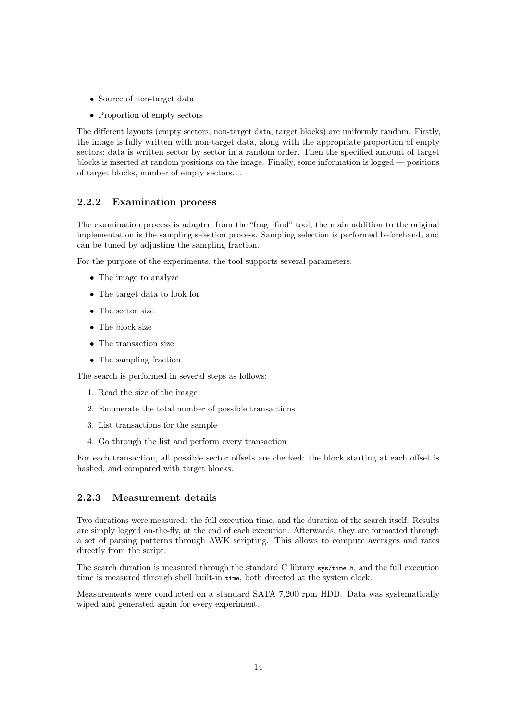- Source of non-target data
- Proportion of empty sectors

The different layouts (empty sectors, non-target data, target blocks) are uniformly random. Firstly, the image is fully written with non-target data, along with the appropriate proportion of empty sectors; data is written sector by sector in a random order. Then the specified amount of target blocks is inserted at random positions on the image. Finally, some information is logged — positions of target blocks, number of empty sectors. . .

#### <span id="page-13-0"></span>2.2.2 Examination process

The examination process is adapted from the "frag\_find" tool; the main addition to the original implementation is the sampling selection process. Sampling selection is performed beforehand, and can be tuned by adjusting the sampling fraction.

For the purpose of the experiments, the tool supports several parameters:

- The image to analyze
- The target data to look for
- The sector size
- The block size
- The transaction size
- The sampling fraction

The search is performed in several steps as follows:

- 1. Read the size of the image
- 2. Enumerate the total number of possible transactions
- 3. List transactions for the sample
- 4. Go through the list and perform every transaction

<span id="page-13-1"></span>For each transaction, all possible sector offsets are checked: the block starting at each offset is hashed, and compared with target blocks.

#### 2.2.3 Measurement details

Two durations were measured: the full execution time, and the duration of the search itself. Results are simply logged on-the-fly, at the end of each execution. Afterwards, they are formatted through a set of parsing patterns through AWK scripting. This allows to compute averages and rates directly from the script.

The search duration is measured through the standard C library sys/time.h, and the full execution time is measured through shell built-in time, both directed at the system clock.

Measurements were conducted on a standard SATA 7,200 rpm [HDD.](#page-20-2) Data was systematically wiped and generated again for every experiment.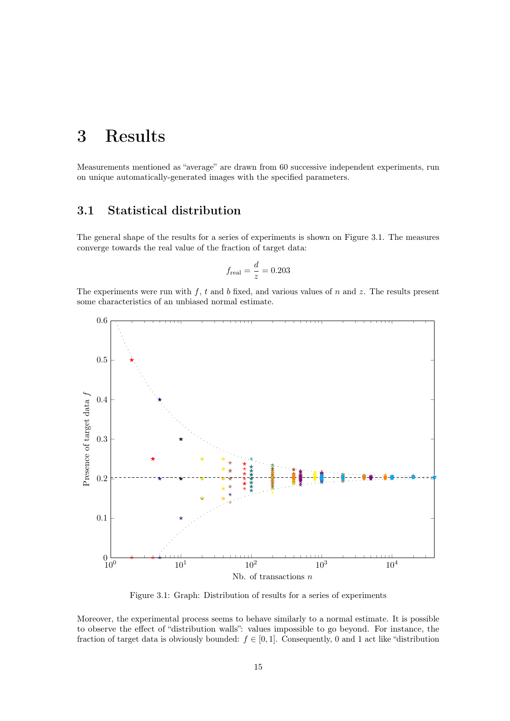## <span id="page-14-0"></span>3 Results

<span id="page-14-1"></span>Measurements mentioned as "average" are drawn from 60 successive independent experiments, run on unique automatically-generated images with the specified parameters.

## 3.1 Statistical distribution

The general shape of the results for a series of experiments is shown on Figure [3.1.](#page-14-2) The measures converge towards the real value of the fraction of target data:

$$
f_{\text{real}} = \frac{d}{z} = 0.203
$$

The experiments were run with  $f$ ,  $t$  and  $b$  fixed, and various values of  $n$  and  $z$ . The results present some characteristics of an unbiased normal estimate.

<span id="page-14-2"></span>

Figure 3.1: Graph: Distribution of results for a series of experiments

Moreover, the experimental process seems to behave similarly to a normal estimate. It is possible to observe the effect of "distribution walls": values impossible to go beyond. For instance, the fraction of target data is obviously bounded:  $f \in [0, 1]$ . Consequently, 0 and 1 act like "distribution"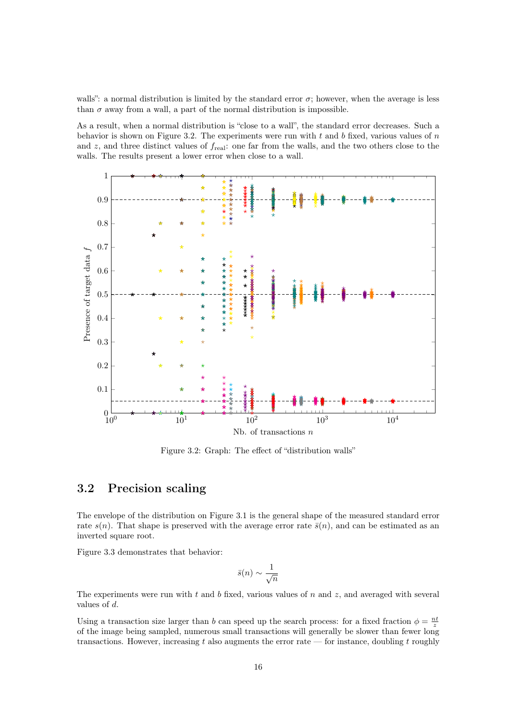walls": a normal distribution is limited by the standard error  $\sigma$ ; however, when the average is less than  $\sigma$  away from a wall, a part of the normal distribution is impossible.

As a result, when a normal distribution is "close to a wall", the standard error decreases. Such a behavior is shown on Figure [3.2.](#page-15-1) The experiments were run with  $t$  and  $b$  fixed, various values of  $n$ and z, and three distinct values of  $f_{\text{real}}$ : one far from the walls, and the two others close to the walls. The results present a lower error when close to a wall.

<span id="page-15-1"></span>

Figure 3.2: Graph: The effect of "distribution walls"

## <span id="page-15-0"></span>3.2 Precision scaling

The envelope of the distribution on Figure [3.1](#page-14-2) is the general shape of the measured standard error rate  $s(n)$ . That shape is preserved with the average error rate  $\bar{s}(n)$ , and can be estimated as an inverted square root.

Figure [3.3](#page-16-1) demonstrates that behavior:

$$
\bar{s}(n) \sim \frac{1}{\sqrt{n}}
$$

The experiments were run with  $t$  and  $b$  fixed, various values of  $n$  and  $z$ , and averaged with several values of d.

Using a transaction size larger than b can speed up the search process: for a fixed fraction  $\phi = \frac{nt}{z}$ of the image being sampled, numerous small transactions will generally be slower than fewer long transactions. However, increasing t also augments the error rate — for instance, doubling t roughly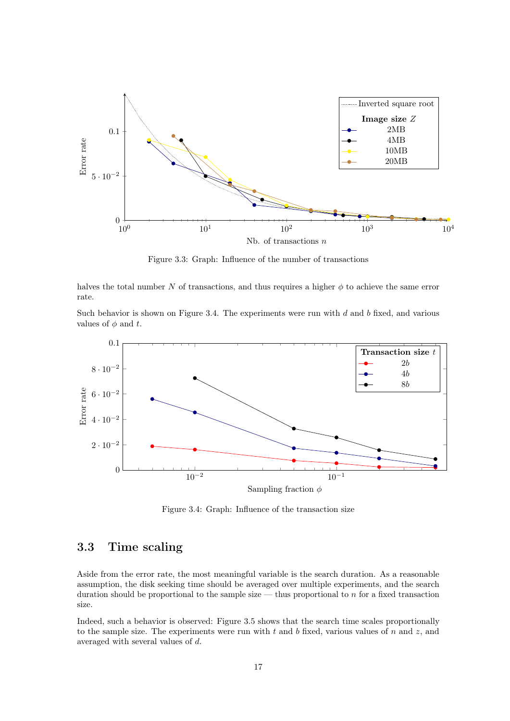<span id="page-16-1"></span>

Figure 3.3: Graph: Influence of the number of transactions

halves the total number N of transactions, and thus requires a higher  $\phi$  to achieve the same error rate.

Such behavior is shown on Figure [3.4.](#page-16-2) The experiments were run with  $d$  and  $b$  fixed, and various values of  $\phi$  and t.

<span id="page-16-2"></span>

Figure 3.4: Graph: Influence of the transaction size

## <span id="page-16-0"></span>3.3 Time scaling

Aside from the error rate, the most meaningful variable is the search duration. As a reasonable assumption, the disk seeking time should be averaged over multiple experiments, and the search duration should be proportional to the sample size — thus proportional to  $n$  for a fixed transaction size.

Indeed, such a behavior is observed: Figure [3.5](#page-17-0) shows that the search time scales proportionally to the sample size. The experiments were run with  $t$  and  $b$  fixed, various values of  $n$  and  $z$ , and averaged with several values of d.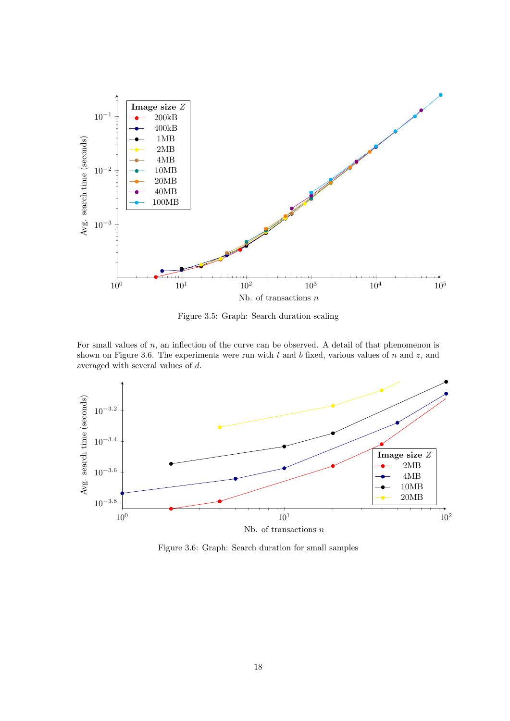<span id="page-17-0"></span>

Figure 3.5: Graph: Search duration scaling

For small values of n, an inflection of the curve can be observed. A detail of that phenomenon is shown on Figure [3.6.](#page-17-1) The experiments were run with  $t$  and  $b$  fixed, various values of  $n$  and  $z$ , and averaged with several values of d.

<span id="page-17-1"></span>

Figure 3.6: Graph: Search duration for small samples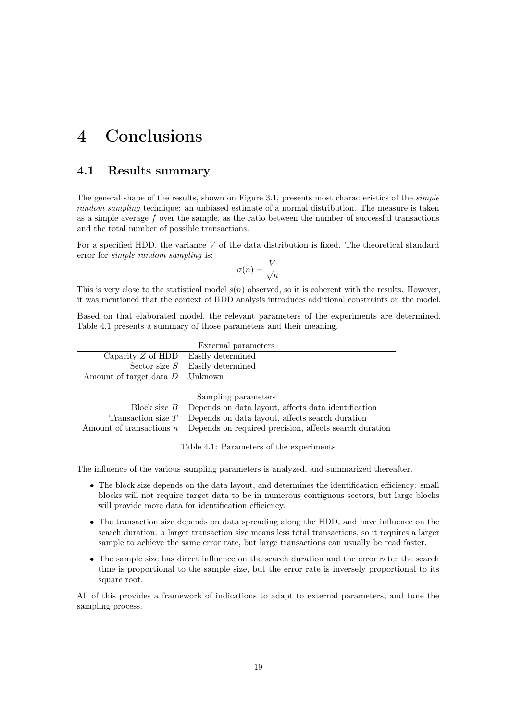## <span id="page-18-0"></span>4 Conclusions

### <span id="page-18-1"></span>4.1 Results summary

The general shape of the results, shown on Figure [3.1,](#page-14-2) presents most characteristics of the *simple* random sampling technique: an unbiased estimate of a normal distribution. The measure is taken as a simple average f over the sample, as the ratio between the number of successful transactions and the total number of possible transactions.

For a specified [HDD,](#page-20-2) the variance  $V$  of the data distribution is fixed. The theoretical standard error for simple random sampling is:

$$
\sigma(n) = \frac{V}{\sqrt{n}}
$$

This is very close to the statistical model  $\bar{s}(n)$  observed, so it is coherent with the results. However, it was mentioned that the context of [HDD](#page-20-2) analysis introduces additional constraints on the model.

Based on that elaborated model, the relevant parameters of the experiments are determined. Table [4.1](#page-18-3) presents a summary of those parameters and their meaning.

<span id="page-18-3"></span>

| External parameters                   |                                                                    |  |  |  |
|---------------------------------------|--------------------------------------------------------------------|--|--|--|
| Capacity $Z$ of HDD Easily determined |                                                                    |  |  |  |
|                                       | Sector size $S$ Easily determined                                  |  |  |  |
| Amount of target data $D$ Unknown     |                                                                    |  |  |  |
|                                       |                                                                    |  |  |  |
| Sampling parameters                   |                                                                    |  |  |  |
|                                       | Block size $B$ Depends on data layout, affects data identification |  |  |  |
| Transaction size $T$                  | Depends on data layout, affects search duration                    |  |  |  |
| Amount of transactions $n$            | Depends on required precision, affects search duration             |  |  |  |

Table 4.1: Parameters of the experiments

The influence of the various sampling parameters is analyzed, and summarized thereafter.

- The block size depends on the data layout, and determines the identification efficiency: small blocks will not require target data to be in numerous contiguous sectors, but large blocks will provide more data for identification efficiency.
- The transaction size depends on data spreading along the [HDD,](#page-20-2) and have influence on the search duration: a larger transaction size means less total transactions, so it requires a larger sample to achieve the same error rate, but large transactions can usually be read faster.
- The sample size has direct influence on the search duration and the error rate: the search time is proportional to the sample size, but the error rate is inversely proportional to its square root.

<span id="page-18-2"></span>All of this provides a framework of indications to adapt to external parameters, and tune the sampling process.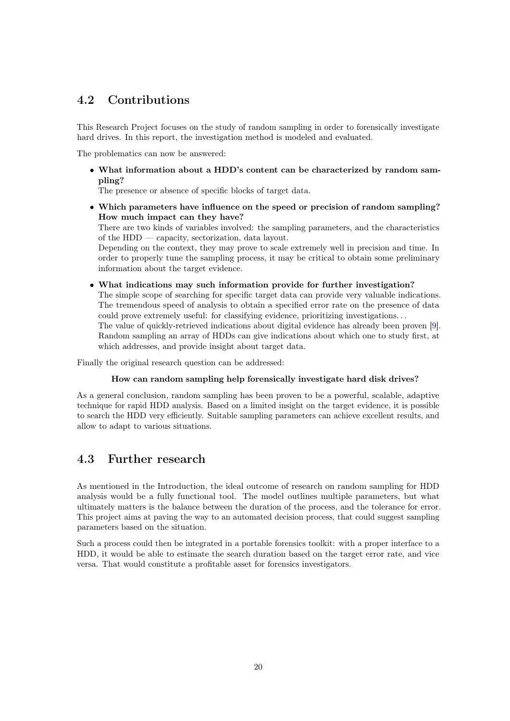## 4.2 Contributions

This Research Project focuses on the study of random sampling in order to forensically investigate hard drives. In this report, the investigation method is modeled and evaluated.

The problematics can now be answered:

• What information about a [HDD'](#page-20-2)s content can be characterized by random sampling?

The presence or absence of specific blocks of target data.

• Which parameters have influence on the speed or precision of random sampling? How much impact can they have?

There are two kinds of variables involved: the sampling parameters, and the characteristics of the [HDD](#page-20-2) — capacity, sectorization, data layout.

Depending on the context, they may prove to scale extremely well in precision and time. In order to properly tune the sampling process, it may be critical to obtain some preliminary information about the target evidence.

• What indications may such information provide for further investigation? The simple scope of searching for specific target data can provide very valuable indications. The tremendous speed of analysis to obtain a specified error rate on the presence of data could prove extremely useful: for classifying evidence, prioritizing investigations. . .

The value of quickly-retrieved indications about digital evidence has already been proven [\[9\]](#page-21-8). Random sampling an array of [HDDs](#page-20-2) can give indications about which one to study first, at which addresses, and provide insight about target data.

Finally the original research question can be addressed:

#### How can random sampling help forensically investigate hard disk drives?

As a general conclusion, random sampling has been proven to be a powerful, scalable, adaptive technique for rapid [HDD](#page-20-2) analysis. Based on a limited insight on the target evidence, it is possible to search the [HDD](#page-20-2) very efficiently. Suitable sampling parameters can achieve excellent results, and allow to adapt to various situations.

### <span id="page-19-0"></span>4.3 Further research

As mentioned in the Introduction, the ideal outcome of research on random sampling for [HDD](#page-20-2) analysis would be a fully functional tool. The model outlines multiple parameters, but what ultimately matters is the balance between the duration of the process, and the tolerance for error. This project aims at paving the way to an automated decision process, that could suggest sampling parameters based on the situation.

Such a process could then be integrated in a portable forensics toolkit: with a proper interface to a [HDD,](#page-20-2) it would be able to estimate the search duration based on the target error rate, and vice versa. That would constitute a profitable asset for forensics investigators.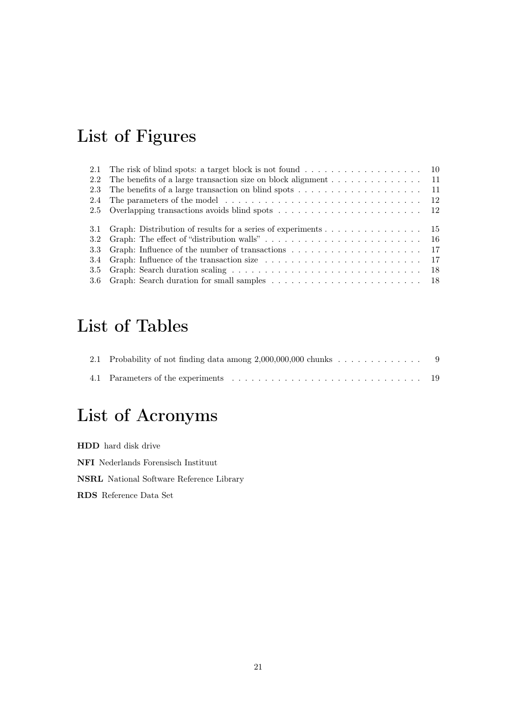# <span id="page-20-0"></span>List of Figures

|      | 2.1 The risk of blind spots: a target block is not found 10                                 |  |
|------|---------------------------------------------------------------------------------------------|--|
| 2.2  | The benefits of a large transaction size on block alignment $\dots \dots \dots \dots \dots$ |  |
| 2.3  |                                                                                             |  |
| 2.4  |                                                                                             |  |
|      |                                                                                             |  |
|      |                                                                                             |  |
|      | 3.1 Graph: Distribution of results for a series of experiments 15                           |  |
|      |                                                                                             |  |
| 3.3  |                                                                                             |  |
| -3.4 |                                                                                             |  |
| 3.5  |                                                                                             |  |
|      |                                                                                             |  |

# List of Tables

# <span id="page-20-1"></span>List of Acronyms

<span id="page-20-5"></span><span id="page-20-4"></span><span id="page-20-3"></span><span id="page-20-2"></span>HDD hard disk drive NFI Nederlands Forensisch Instituut NSRL National Software Reference Library RDS Reference Data Set